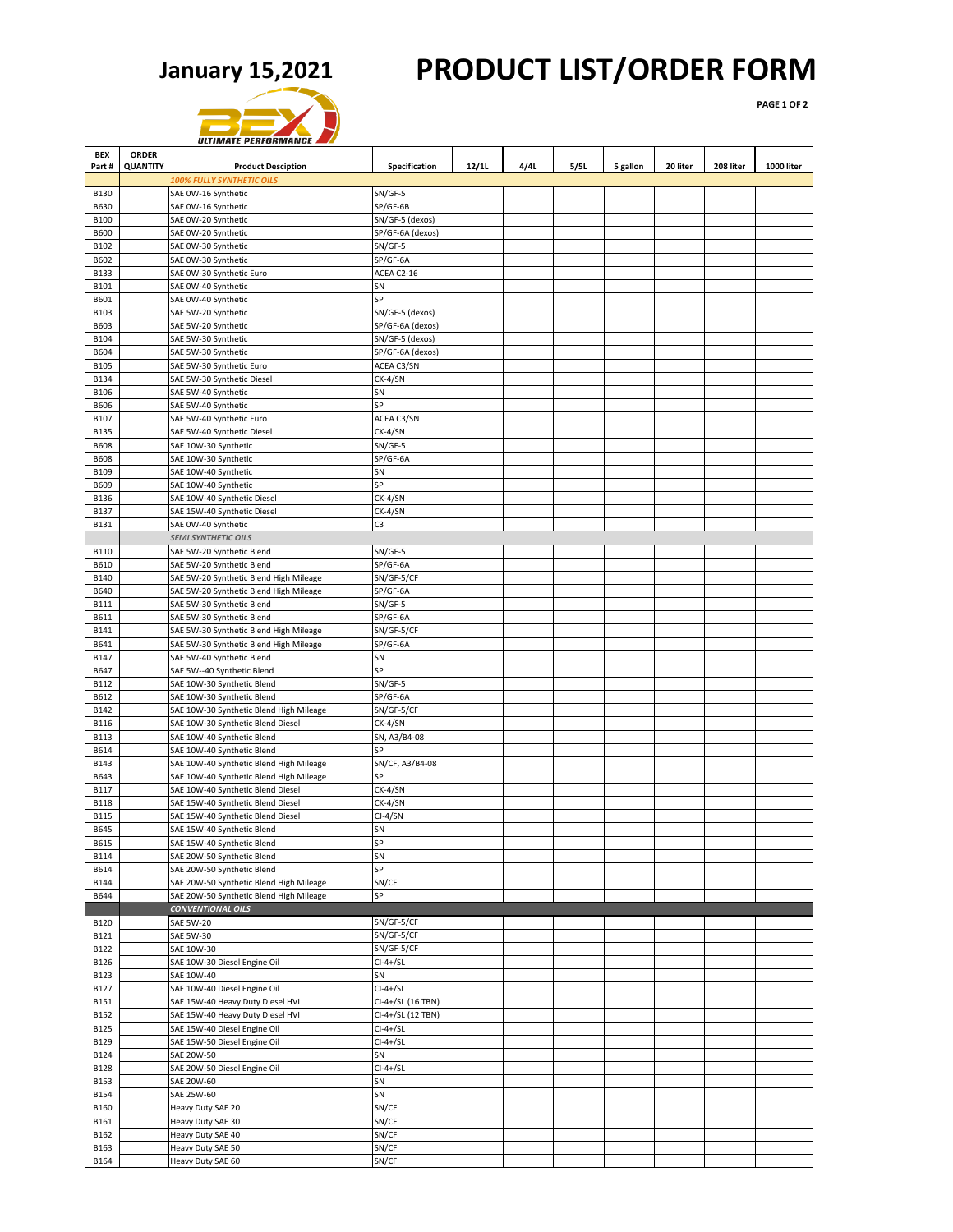## **January 15,2021 PRODUCT LIST/ORDER FORM**

**PAGE 1 OF 2**

|                            |                 | <b>ULTIMATE PERFORMANCE</b>                                            |                       |       |      |      |          |          |           |            |
|----------------------------|-----------------|------------------------------------------------------------------------|-----------------------|-------|------|------|----------|----------|-----------|------------|
| <b>BEX</b>                 | <b>ORDER</b>    |                                                                        |                       |       |      |      |          |          |           |            |
| Part#                      | <b>QUANTITY</b> | <b>Product Desciption</b>                                              | Specification         | 12/1L | 4/4L | 5/5L | 5 gallon | 20 liter | 208 liter | 1000 liter |
|                            |                 | <b>100% FULLY SYNTHETIC OILS</b>                                       |                       |       |      |      |          |          |           |            |
| <b>B130</b><br><b>B630</b> |                 | SAE 0W-16 Synthetic<br>SAE 0W-16 Synthetic                             | $SN/GF-5$<br>SP/GF-6B |       |      |      |          |          |           |            |
| <b>B100</b>                |                 | SAE 0W-20 Synthetic                                                    | SN/GF-5 (dexos)       |       |      |      |          |          |           |            |
| <b>B600</b>                |                 | SAE 0W-20 Synthetic                                                    | SP/GF-6A (dexos)      |       |      |      |          |          |           |            |
| B102                       |                 | SAE 0W-30 Synthetic                                                    | $SN/GF-5$             |       |      |      |          |          |           |            |
| B602                       |                 | SAE 0W-30 Synthetic                                                    | SP/GF-6A              |       |      |      |          |          |           |            |
| <b>B133</b>                |                 | SAE 0W-30 Synthetic Euro                                               | ACEA C2-16            |       |      |      |          |          |           |            |
| B101<br><b>B601</b>        |                 | SAE 0W-40 Synthetic                                                    | SN<br>SP              |       |      |      |          |          |           |            |
| B103                       |                 | SAE 0W-40 Synthetic<br>SAE 5W-20 Synthetic                             | SN/GF-5 (dexos)       |       |      |      |          |          |           |            |
| B603                       |                 | SAE 5W-20 Synthetic                                                    | SP/GF-6A (dexos)      |       |      |      |          |          |           |            |
| B104                       |                 | SAE 5W-30 Synthetic                                                    | SN/GF-5 (dexos)       |       |      |      |          |          |           |            |
| B604                       |                 | SAE 5W-30 Synthetic                                                    | SP/GF-6A (dexos)      |       |      |      |          |          |           |            |
| <b>B105</b>                |                 | SAE 5W-30 Synthetic Euro                                               | ACEA C3/SN            |       |      |      |          |          |           |            |
| <b>B134</b>                |                 | SAE 5W-30 Synthetic Diesel                                             | CK-4/SN               |       |      |      |          |          |           |            |
| <b>B106</b><br><b>B606</b> |                 | SAE 5W-40 Synthetic<br>SAE 5W-40 Synthetic                             | SN<br>SP              |       |      |      |          |          |           |            |
| B107                       |                 | SAE 5W-40 Synthetic Euro                                               | ACEA C3/SN            |       |      |      |          |          |           |            |
| <b>B135</b>                |                 | SAE 5W-40 Synthetic Diesel                                             | CK-4/SN               |       |      |      |          |          |           |            |
| <b>B608</b>                |                 | SAE 10W-30 Synthetic                                                   | $SN/GF-5$             |       |      |      |          |          |           |            |
| <b>B608</b>                |                 | SAE 10W-30 Synthetic                                                   | SP/GF-6A              |       |      |      |          |          |           |            |
| B109                       |                 | SAE 10W-40 Synthetic                                                   | SN                    |       |      |      |          |          |           |            |
| B609                       |                 | SAE 10W-40 Synthetic                                                   | SP                    |       |      |      |          |          |           |            |
| B136                       |                 | SAE 10W-40 Synthetic Diesel                                            | CK-4/SN               |       |      |      |          |          |           |            |
| B137                       |                 | SAE 15W-40 Synthetic Diesel                                            | CK-4/SN<br>C3         |       |      |      |          |          |           |            |
| B131                       |                 | SAE 0W-40 Synthetic<br><b>SEMI SYNTHETIC OILS</b>                      |                       |       |      |      |          |          |           |            |
| <b>B110</b>                |                 | SAE 5W-20 Synthetic Blend                                              | $SN/GF-5$             |       |      |      |          |          |           |            |
| B610                       |                 | SAE 5W-20 Synthetic Blend                                              | SP/GF-6A              |       |      |      |          |          |           |            |
| <b>B140</b>                |                 | SAE 5W-20 Synthetic Blend High Mileage                                 | SN/GF-5/CF            |       |      |      |          |          |           |            |
| B640                       |                 | SAE 5W-20 Synthetic Blend High Mileage                                 | SP/GF-6A              |       |      |      |          |          |           |            |
| <b>B111</b>                |                 | SAE 5W-30 Synthetic Blend                                              | SN/GF-5               |       |      |      |          |          |           |            |
| B611                       |                 | SAE 5W-30 Synthetic Blend                                              | SP/GF-6A              |       |      |      |          |          |           |            |
| B141                       |                 | SAE 5W-30 Synthetic Blend High Mileage                                 | SN/GF-5/CF            |       |      |      |          |          |           |            |
| B641<br>B147               |                 | SAE 5W-30 Synthetic Blend High Mileage                                 | SP/GF-6A<br>SN        |       |      |      |          |          |           |            |
| B647                       |                 | SAE 5W-40 Synthetic Blend<br>SAE 5W--40 Synthetic Blend                | SP                    |       |      |      |          |          |           |            |
| B112                       |                 | SAE 10W-30 Synthetic Blend                                             | SN/GF-5               |       |      |      |          |          |           |            |
| B612                       |                 | SAE 10W-30 Synthetic Blend                                             | SP/GF-6A              |       |      |      |          |          |           |            |
| B142                       |                 | SAE 10W-30 Synthetic Blend High Mileage                                | SN/GF-5/CF            |       |      |      |          |          |           |            |
| <b>B116</b>                |                 | SAE 10W-30 Synthetic Blend Diesel                                      | CK-4/SN               |       |      |      |          |          |           |            |
| <b>B113</b>                |                 | SAE 10W-40 Synthetic Blend                                             | SN, A3/B4-08          |       |      |      |          |          |           |            |
| B614                       |                 | SAE 10W-40 Synthetic Blend                                             | SP                    |       |      |      |          |          |           |            |
| <b>B143</b>                |                 | SAE 10W-40 Synthetic Blend High Mileage                                | SN/CF, A3/B4-08       |       |      |      |          |          |           |            |
| B643                       |                 | SAE 10W-40 Synthetic Blend High Mileage                                | SP                    |       |      |      |          |          |           |            |
| <b>B117</b><br><b>B118</b> |                 | SAE 10W-40 Synthetic Blend Diesel<br>SAE 15W-40 Synthetic Blend Diesel | CK-4/SN<br>CK-4/SN    |       |      |      |          |          |           |            |
| <b>B115</b>                |                 | SAE 15W-40 Synthetic Blend Diesel                                      | $CI-4/SN$             |       |      |      |          |          |           |            |
| B645                       |                 | SAE 15W-40 Synthetic Blend                                             | SN                    |       |      |      |          |          |           |            |
| B615                       |                 | SAE 15W-40 Synthetic Blend                                             | SP                    |       |      |      |          |          |           |            |
| <b>B114</b>                |                 | SAE 20W-50 Synthetic Blend                                             | SN                    |       |      |      |          |          |           |            |
| B614                       |                 | SAE 20W-50 Synthetic Blend                                             | SP                    |       |      |      |          |          |           |            |
| <b>B144</b>                |                 | SAE 20W-50 Synthetic Blend High Mileage                                | SN/CF                 |       |      |      |          |          |           |            |
| B644                       |                 | SAE 20W-50 Synthetic Blend High Mileage                                | SP                    |       |      |      |          |          |           |            |
| <b>B120</b>                |                 | <b>CONVENTIONAL OILS</b><br><b>SAE 5W-20</b>                           | SN/GF-5/CF            |       |      |      |          |          |           |            |
| B121                       |                 | <b>SAE 5W-30</b>                                                       | SN/GF-5/CF            |       |      |      |          |          |           |            |
| B122                       |                 | SAE 10W-30                                                             | SN/GF-5/CF            |       |      |      |          |          |           |            |
| B126                       |                 | SAE 10W-30 Diesel Engine Oil                                           | $Cl-4+/SL$            |       |      |      |          |          |           |            |
| <b>B123</b>                |                 | SAE 10W-40                                                             | SN                    |       |      |      |          |          |           |            |
| B127                       |                 | SAE 10W-40 Diesel Engine Oil                                           | $Cl-4+/SL$            |       |      |      |          |          |           |            |
| B151                       |                 | SAE 15W-40 Heavy Duty Diesel HVI                                       | CI-4+/SL (16 TBN)     |       |      |      |          |          |           |            |
| B152                       |                 | SAE 15W-40 Heavy Duty Diesel HVI                                       | CI-4+/SL (12 TBN)     |       |      |      |          |          |           |            |
| <b>B125</b>                |                 | SAE 15W-40 Diesel Engine Oil                                           | $Cl-4+/SL$            |       |      |      |          |          |           |            |
| B129<br><b>B124</b>        |                 | SAE 15W-50 Diesel Engine Oil<br>SAE 20W-50                             | $Cl-4+/SL$<br>SN      |       |      |      |          |          |           |            |
| <b>B128</b>                |                 | SAE 20W-50 Diesel Engine Oil                                           | $Cl-4+/SL$            |       |      |      |          |          |           |            |
| <b>B153</b>                |                 | SAE 20W-60                                                             | SN                    |       |      |      |          |          |           |            |
| <b>B154</b>                |                 | SAE 25W-60                                                             | SN                    |       |      |      |          |          |           |            |
| B160                       |                 | Heavy Duty SAE 20                                                      | SN/CF                 |       |      |      |          |          |           |            |
| B161                       |                 | Heavy Duty SAE 30                                                      | SN/CF                 |       |      |      |          |          |           |            |
| B162                       |                 | Heavy Duty SAE 40                                                      | SN/CF                 |       |      |      |          |          |           |            |
| B163                       |                 | Heavy Duty SAE 50                                                      | SN/CF                 |       |      |      |          |          |           |            |
| <b>B164</b>                |                 | Heavy Duty SAE 60                                                      | SN/CF                 |       |      |      |          |          |           |            |